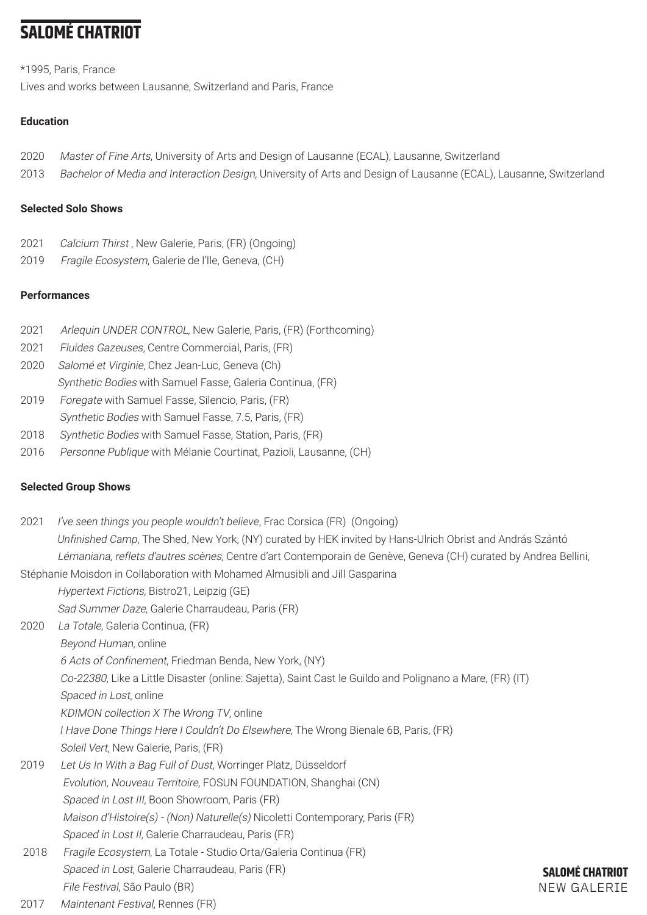# **SALOMÉ CHATRIOT**

\*1995, Paris, France Lives and works between Lausanne, Switzerland and Paris, France

## **Education**

- 2020 Master of Fine Arts, University of Arts and Design of Lausanne (ECAL), Lausanne, Switzerland
- 2013 Bachelor of Media and Interaction Design, University of Arts and Design of Lausanne (ECAL), Lausanne, Switzerland

### **Selected Solo Shows**

- 2021 Calcium Thirst, New Galerie, Paris, (FR) (Ongoing)
- 2019 Fragile Ecosystem, Galerie de l'Ile, Geneva, (CH)

## **Performances**

- 2021 Arlequin UNDER CONTROL, New Galerie, Paris, (FR) (Forthcoming)
- 2021 Fluides Gazeuses, Centre Commercial, Paris, (FR)
- 2020 Salomé et Virginie, Chez Jean-Luc, Geneva (Ch) Synthetic Bodies with Samuel Fasse, Galeria Continua, (FR)
- 2019 Foregate with Samuel Fasse, Silencio, Paris, (FR)
- Synthetic Bodies with Samuel Fasse, 7.5, Paris, (FR)
- 2018 Synthetic Bodies with Samuel Fasse, Station, Paris, (FR)
- 2016 Personne Publique with Mélanie Courtinat, Pazioli, Lausanne, (CH)

## **Selected Group Shows**

| 2021 | I've seen things you people wouldn't believe, Frac Corsica (FR) (Ongoing)                                       |                        |
|------|-----------------------------------------------------------------------------------------------------------------|------------------------|
|      | Unfinished Camp, The Shed, New York, (NY) curated by HEK invited by Hans-Ulrich Obrist and András Szántó        |                        |
|      | Lémaniana, reflets d'autres scènes, Centre d'art Contemporain de Genève, Geneva (CH) curated by Andrea Bellini, |                        |
|      | Stéphanie Moisdon in Collaboration with Mohamed Almusibli and Jill Gasparina                                    |                        |
|      | Hypertext Fictions, Bistro21, Leipzig (GE)                                                                      |                        |
|      | Sad Summer Daze, Galerie Charraudeau, Paris (FR)                                                                |                        |
| 2020 | La Totale, Galeria Continua, (FR)                                                                               |                        |
|      | Beyond Human, online                                                                                            |                        |
|      | 6 Acts of Confinement, Friedman Benda, New York, (NY)                                                           |                        |
|      | Co-22380, Like a Little Disaster (online: Sajetta), Saint Cast le Guildo and Polignano a Mare, (FR) (IT)        |                        |
|      | Spaced in Lost, online                                                                                          |                        |
|      | KDIMON collection X The Wrong TV, online                                                                        |                        |
|      | I Have Done Things Here I Couldn't Do Elsewhere, The Wrong Bienale 6B, Paris, (FR)                              |                        |
|      | Soleil Vert, New Galerie, Paris, (FR)                                                                           |                        |
| 2019 | Let Us In With a Bag Full of Dust, Worringer Platz, Düsseldorf                                                  |                        |
|      | Evolution, Nouveau Territoire, FOSUN FOUNDATION, Shanghai (CN)                                                  |                        |
|      | Spaced in Lost III, Boon Showroom, Paris (FR)                                                                   |                        |
|      | Maison d'Histoire(s) - (Non) Naturelle(s) Nicoletti Contemporary, Paris (FR)                                    |                        |
|      | Spaced in Lost II, Galerie Charraudeau, Paris (FR)                                                              |                        |
| 2018 | Fragile Ecosystem, La Totale - Studio Orta/Galeria Continua (FR)                                                |                        |
|      | Spaced in Lost, Galerie Charraudeau, Paris (FR)                                                                 | <b>SALOMÉ CHATRIOT</b> |
|      | File Festival, São Paulo (BR)                                                                                   | <b>NEW GALERIE</b>     |
| 0017 | $M = 1.4$                                                                                                       |                        |